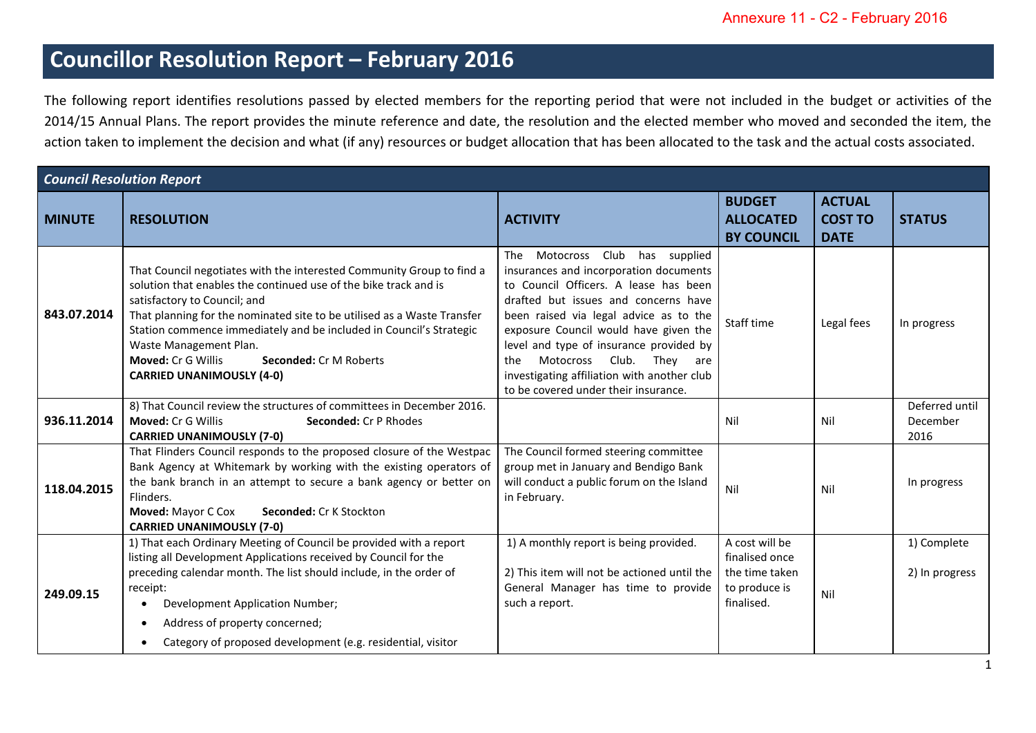## **Councillor Resolution Report – February 2016**

The following report identifies resolutions passed by elected members for the reporting period that were not included in the budget or activities of the 2014/15 Annual Plans. The report provides the minute reference and date, the resolution and the elected member who moved and seconded the item, the action taken to implement the decision and what (if any) resources or budget allocation that has been allocated to the task and the actual costs associated.

| <b>Council Resolution Report</b> |                                                                                                                                                                                                                                                                                                                                                                                                                                                         |                                                                                                                                                                                                                                                                                                                                                                                                                          |                                                                                   |                                                |                                    |  |  |  |
|----------------------------------|---------------------------------------------------------------------------------------------------------------------------------------------------------------------------------------------------------------------------------------------------------------------------------------------------------------------------------------------------------------------------------------------------------------------------------------------------------|--------------------------------------------------------------------------------------------------------------------------------------------------------------------------------------------------------------------------------------------------------------------------------------------------------------------------------------------------------------------------------------------------------------------------|-----------------------------------------------------------------------------------|------------------------------------------------|------------------------------------|--|--|--|
| <b>MINUTE</b>                    | <b>RESOLUTION</b>                                                                                                                                                                                                                                                                                                                                                                                                                                       | <b>ACTIVITY</b>                                                                                                                                                                                                                                                                                                                                                                                                          | <b>BUDGET</b><br><b>ALLOCATED</b><br><b>BY COUNCIL</b>                            | <b>ACTUAL</b><br><b>COST TO</b><br><b>DATE</b> | <b>STATUS</b>                      |  |  |  |
| 843.07.2014                      | That Council negotiates with the interested Community Group to find a<br>solution that enables the continued use of the bike track and is<br>satisfactory to Council; and<br>That planning for the nominated site to be utilised as a Waste Transfer<br>Station commence immediately and be included in Council's Strategic<br>Waste Management Plan.<br><b>Moved: Cr G Willis</b><br><b>Seconded: Cr M Roberts</b><br><b>CARRIED UNANIMOUSLY (4-0)</b> | The Motocross Club<br>has supplied<br>insurances and incorporation documents<br>to Council Officers. A lease has been<br>drafted but issues and concerns have<br>been raised via legal advice as to the<br>exposure Council would have given the<br>level and type of insurance provided by<br>Motocross Club.<br>They are<br>the<br>investigating affiliation with another club<br>to be covered under their insurance. | Staff time                                                                        | Legal fees                                     | In progress                        |  |  |  |
| 936.11.2014                      | 8) That Council review the structures of committees in December 2016.<br><b>Moved: Cr G Willis</b><br><b>Seconded: Cr P Rhodes</b><br><b>CARRIED UNANIMOUSLY (7-0)</b>                                                                                                                                                                                                                                                                                  |                                                                                                                                                                                                                                                                                                                                                                                                                          | Nil                                                                               | Nil                                            | Deferred until<br>December<br>2016 |  |  |  |
| 118.04.2015                      | That Flinders Council responds to the proposed closure of the Westpac<br>Bank Agency at Whitemark by working with the existing operators of<br>the bank branch in an attempt to secure a bank agency or better on<br>Flinders.<br>Moved: Mayor C Cox<br><b>Seconded: Cr K Stockton</b><br><b>CARRIED UNANIMOUSLY (7-0)</b>                                                                                                                              | The Council formed steering committee<br>group met in January and Bendigo Bank<br>will conduct a public forum on the Island<br>in February.                                                                                                                                                                                                                                                                              | Nil                                                                               | Nil                                            | In progress                        |  |  |  |
| 249.09.15                        | 1) That each Ordinary Meeting of Council be provided with a report<br>listing all Development Applications received by Council for the<br>preceding calendar month. The list should include, in the order of<br>receipt:<br>Development Application Number;<br>Address of property concerned;<br>$\bullet$<br>Category of proposed development (e.g. residential, visitor<br>$\bullet$                                                                  | 1) A monthly report is being provided.<br>2) This item will not be actioned until the<br>General Manager has time to provide<br>such a report.                                                                                                                                                                                                                                                                           | A cost will be<br>finalised once<br>the time taken<br>to produce is<br>finalised. | Nil                                            | 1) Complete<br>2) In progress      |  |  |  |